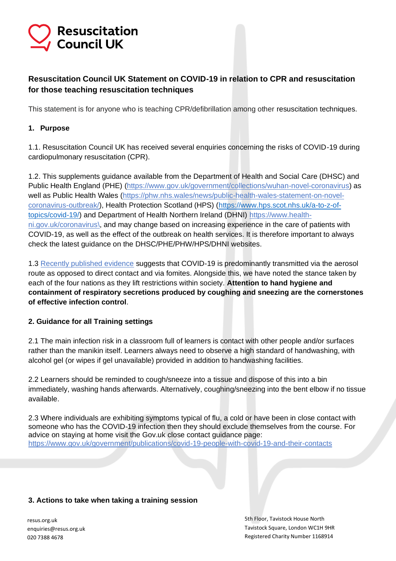# **Resuscitation Council UK**

## **Resuscitation Council UK Statement on COVID-19 in relation to CPR and resuscitation for those teaching resuscitation techniques**

This statement is for anyone who is teaching CPR/defibrillation among other resuscitation techniques.

### **1. Purpose**

1.1. Resuscitation Council UK has received several enquiries concerning the risks of COVID-19 during cardiopulmonary resuscitation (CPR).

1.2. This supplements guidance available from the Department of Health and Social Care (DHSC) and Public Health England (PHE) [\(https://www.gov.uk/government/collections/wuhan-novel-coronavirus\)](https://www.gov.uk/government/collections/wuhan-novel-coronavirus) as well as Public Health Wales [\(https://phw.nhs.wales/news/public-health-wales-statement-on-novel](https://phw.nhs.wales/news/public-health-wales-statement-on-novel-coronavirus-outbreak/)[coronavirus-outbreak/\)](https://phw.nhs.wales/news/public-health-wales-statement-on-novel-coronavirus-outbreak/), Health Protection Scotland (HPS) [\(https://www.hps.scot.nhs.uk/a-to-z-of](https://www.hps.scot.nhs.uk/a-to-z-of-topics/covid-19/)[topics/covid-19/\)](https://www.hps.scot.nhs.uk/a-to-z-of-topics/covid-19/) and Department of Health Northern Ireland (DHNI) [https://www.health](https://www.health-ni.gov.uk/coronavirus/)[ni.gov.uk/coronavirus\,](https://www.health-ni.gov.uk/coronavirus/) and may change based on increasing experience in the care of patients with COVID-19, as well as the effect of the outbreak on health services. It is therefore important to always check the latest guidance on the DHSC/PHE/PHW/HPS/DHNI websites.

1.3 [Recently published evidence](https://pubmed.ncbi.nlm.nih.gov/34748374/) suggests that COVID-19 is predominantly transmitted via the aerosol route as opposed to direct contact and via fomites. Alongside this, we have noted the stance taken by each of the four nations as they lift restrictions within society. **Attention to hand hygiene and containment of respiratory secretions produced by coughing and sneezing are the cornerstones of effective infection control**.

### **2. Guidance for all Training settings**

2.1 The main infection risk in a classroom full of learners is contact with other people and/or surfaces rather than the manikin itself. Learners always need to observe a high standard of handwashing, with alcohol gel (or wipes if gel unavailable) provided in addition to handwashing facilities.

2.2 Learners should be reminded to cough/sneeze into a tissue and dispose of this into a bin immediately, washing hands afterwards. Alternatively, coughing/sneezing into the bent elbow if no tissue available.

2.3 Where individuals are exhibiting symptoms typical of flu, a cold or have been in close contact with someone who has the COVID-19 infection then they should exclude themselves from the course. For advice on staying at home visit the Gov.uk close contact guidance page: <https://www.gov.uk/government/publications/covid-19-people-with-covid-19-and-their-contacts>

#### **3. Actions to take when taking a training session**

resus.org.uk enquiries@resus.org.uk 020 7388 4678

5th Floor, Tavistock House North Tavistock Square, London WC1H 9HR Registered Charity Number 1168914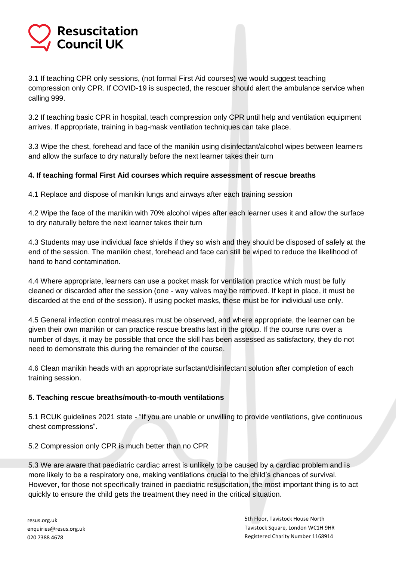# **Resuscitation Council UK**

3.1 If teaching CPR only sessions, (not formal First Aid courses) we would suggest teaching compression only CPR. If COVID-19 is suspected, the rescuer should alert the ambulance service when calling 999.

3.2 If teaching basic CPR in hospital, teach compression only CPR until help and ventilation equipment arrives. If appropriate, training in bag-mask ventilation techniques can take place.

3.3 Wipe the chest, forehead and face of the manikin using disinfectant/alcohol wipes between learners and allow the surface to dry naturally before the next learner takes their turn

### **4. If teaching formal First Aid courses which require assessment of rescue breaths**

4.1 Replace and dispose of manikin lungs and airways after each training session

4.2 Wipe the face of the manikin with 70% alcohol wipes after each learner uses it and allow the surface to dry naturally before the next learner takes their turn

4.3 Students may use individual face shields if they so wish and they should be disposed of safely at the end of the session. The manikin chest, forehead and face can still be wiped to reduce the likelihood of hand to hand contamination.

4.4 Where appropriate, learners can use a pocket mask for ventilation practice which must be fully cleaned or discarded after the session (one - way valves may be removed. If kept in place, it must be discarded at the end of the session). If using pocket masks, these must be for individual use only.

4.5 General infection control measures must be observed, and where appropriate, the learner can be given their own manikin or can practice rescue breaths last in the group. If the course runs over a number of days, it may be possible that once the skill has been assessed as satisfactory, they do not need to demonstrate this during the remainder of the course.

4.6 Clean manikin heads with an appropriate surfactant/disinfectant solution after completion of each training session.

#### **5. Teaching rescue breaths/mouth-to-mouth ventilations**

5.1 RCUK guidelines 2021 state - "If you are unable or unwilling to provide ventilations, give continuous chest compressions".

5.2 Compression only CPR is much better than no CPR

5.3 We are aware that paediatric cardiac arrest is unlikely to be caused by a cardiac problem and is more likely to be a respiratory one, making ventilations crucial to the child's chances of survival. However, for those not specifically trained in paediatric resuscitation, the most important thing is to act quickly to ensure the child gets the treatment they need in the critical situation.